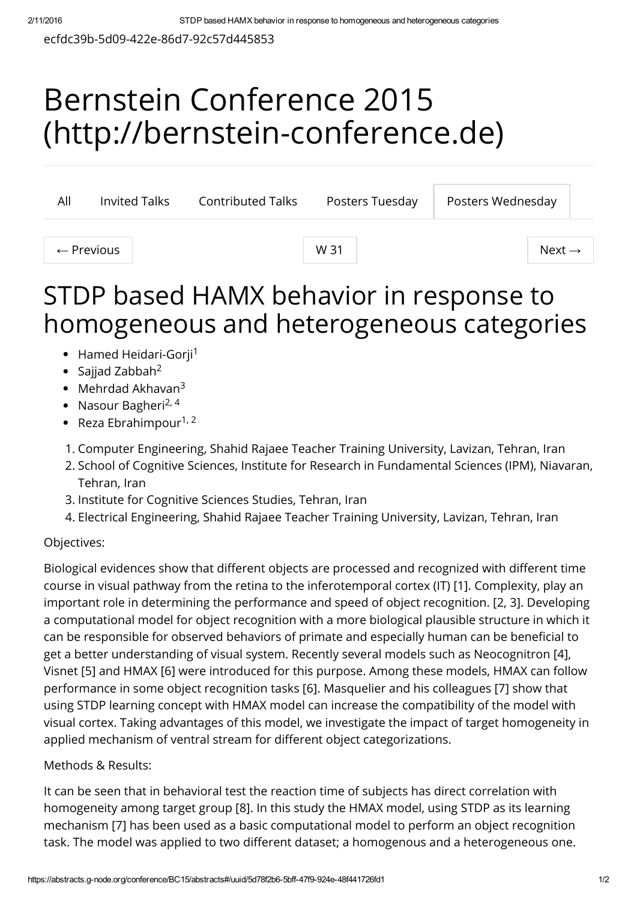ecfdc39b-5d09-422e-86d7-92c57d445853

# Bernstein Conference 2015 [\(http://bernstein-conference.de\)](http://bernstein-conference.de/)

| All                   | <b>Invited Talks</b> | <b>Contributed Talks</b> | Posters Tuesday | Posters Wednesday |                    |
|-----------------------|----------------------|--------------------------|-----------------|-------------------|--------------------|
| $\leftarrow$ Previous |                      |                          | W 31            |                   | Next $\rightarrow$ |

# STDP based HAMX behavior in response to homogeneous and heterogeneous categories

- Hamed Heidari-Gorji 1
- Sajjad Zabbah<sup>2</sup>
- Mehrdad Akhavan 3
- Nasour Bagheri<sup>2, 4</sup>
- Reza Ebrahimpour<sup>1, 2</sup>
- 1. Computer Engineering, Shahid Rajaee Teacher Training University, Lavizan, Tehran, Iran
- 2. School of Cognitive Sciences, Institute for Research in Fundamental Sciences (IPM), Niavaran, Tehran, Iran
- 3. Institute for Cognitive Sciences Studies, Tehran, Iran
- 4. Electrical Engineering, Shahid Rajaee Teacher Training University, Lavizan, Tehran, Iran

#### Objectives:

Biological evidences show that different objects are processed and recognized with different time course in visual pathway from the retina to the inferotemporal cortex (IT) [1]. Complexity, play an important role in determining the performance and speed of object recognition. [2, 3]. Developing a computational model for object recognition with a more biological plausible structure in which it can be responsible for observed behaviors of primate and especially human can be beneficial to get a better understanding of visual system. Recently several models such as Neocognitron [4], Visnet [5] and HMAX [6] were introduced for this purpose. Among these models, HMAX can follow performance in some object recognition tasks [6]. Masquelier and his colleagues [7] show that using STDP learning concept with HMAX model can increase the compatibility of the model with visual cortex. Taking advantages of this model, we investigate the impact of target homogeneity in applied mechanism of ventral stream for different object categorizations.

#### Methods & Results:

It can be seen that in behavioral test the reaction time of subjects has direct correlation with homogeneity among target group [8]. In this study the HMAX model, using STDP as its learning mechanism [7] has been used as a basic computational model to perform an object recognition task. The model was applied to two different dataset; a homogenous and a heterogeneous one.